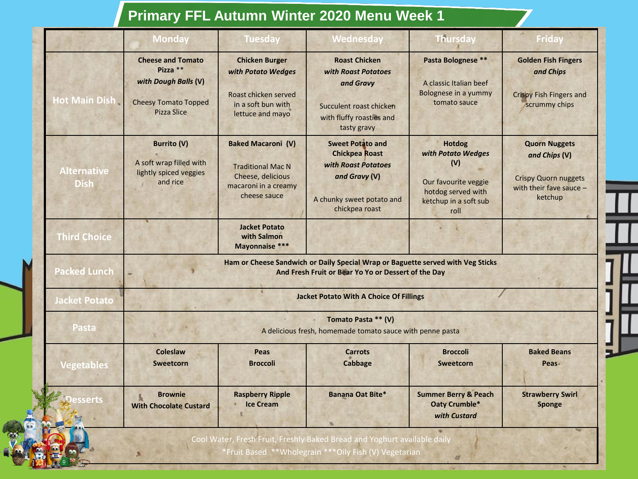## **Primary FFL Autumn Winter 2020 Menu Week 1**

|                                   | <b>Monday</b>                                                                                                       | <b>Tuesday</b>                                                                                                     | Wednesday                                                                                                                               | <b>Thursday</b>                                                                                                           | <b>Friday</b>                                                                                              |  |
|-----------------------------------|---------------------------------------------------------------------------------------------------------------------|--------------------------------------------------------------------------------------------------------------------|-----------------------------------------------------------------------------------------------------------------------------------------|---------------------------------------------------------------------------------------------------------------------------|------------------------------------------------------------------------------------------------------------|--|
| <b>Hot Main Dish</b>              | <b>Cheese and Tomato</b><br>Pizza $**$<br>with Dough Balls (V)<br><b>Cheesy Tomato Topped</b><br><b>Pizza Slice</b> | <b>Chicken Burger</b><br>with Potato Wedges<br>Roast chicken served<br>in a soft bun with<br>lettuce and mayo      | <b>Roast Chicken</b><br>with Roast Potatoes<br>and Gravy<br>Succulent roast chicken<br>with fluffy roasties and<br>tasty gravy          | Pasta Bolognese **<br>A classic Italian beef<br>Bolognese in a yummy<br>tomato sauce                                      | <b>Golden Fish Fingers</b><br>and Chips<br><b>Crispy Fish Fingers and</b><br>scrummy chips                 |  |
| <b>Alternative</b><br><b>Dish</b> | <b>Burrito (V)</b><br>A soft wrap filled with<br>lightly spiced veggies<br>and rice                                 | <b>Baked Macaroni (V)</b><br><b>Traditional Mac N</b><br>Cheese, delicious<br>macaroni in a creamy<br>cheese sauce | <b>Sweet Potato and</b><br><b>Chickpea Roast</b><br>with Roast Potatoes<br>and Gravy (V)<br>A chunky sweet potato and<br>chickpea roast | <b>Hotdog</b><br>with Potato Wedges<br>(V)<br>Our favourite veggie<br>hotdog served with<br>ketchup in a soft sub<br>roll | <b>Quorn Nuggets</b><br>and Chips (V)<br><b>Crispy Quorn nuggets</b><br>with their fave sauce -<br>ketchup |  |
| <b>Third Choice</b>               |                                                                                                                     | <b>Jacket Potato</b><br>with Salmon<br>Mayonnaise ***                                                              |                                                                                                                                         |                                                                                                                           |                                                                                                            |  |
| <b>Packed Lunch</b>               |                                                                                                                     |                                                                                                                    | Ham or Cheese Sandwich or Daily Special Wrap or Baguette served with Veg Sticks<br>And Fresh Fruit or Bear Yo Yo or Dessert of the Day  |                                                                                                                           |                                                                                                            |  |
| <b>Jacket Potato</b>              | <b>Jacket Potato With A Choice Of Fillings</b>                                                                      |                                                                                                                    |                                                                                                                                         |                                                                                                                           |                                                                                                            |  |
| Pasta                             | Tomato Pasta ** (V)<br>A delicious fresh, homemade tomato sauce with penne pasta                                    |                                                                                                                    |                                                                                                                                         |                                                                                                                           |                                                                                                            |  |
| <b>Vegetables</b>                 | <b>Coleslaw</b><br>Sweetcorn                                                                                        | Peas<br><b>Broccoli</b>                                                                                            | <b>Carrots</b><br><b>Cabbage</b>                                                                                                        | <b>Broccoli</b><br><b>Sweetcorn</b>                                                                                       | <b>Baked Beans</b><br>Peas-                                                                                |  |
| <b>Desserts</b>                   | <b>Brownie</b><br><b>With Chocolate Custard</b>                                                                     | <b>Raspberry Ripple</b><br><b>Ice Cream</b>                                                                        | <b>Banana Oat Bite*</b>                                                                                                                 | <b>Summer Berry &amp; Peach</b><br><b>Oaty Crumble*</b><br>with Custard                                                   | <b>Strawberry Swirl</b><br><b>Sponge</b>                                                                   |  |
|                                   |                                                                                                                     |                                                                                                                    | Cool Water, Fresh Fruit, Freshly Baked Bread and Yoghurt available daily<br>*Fruit Based **Wholegrain ***Oily Fish (V) Vegetarian       |                                                                                                                           |                                                                                                            |  |

**TABLE**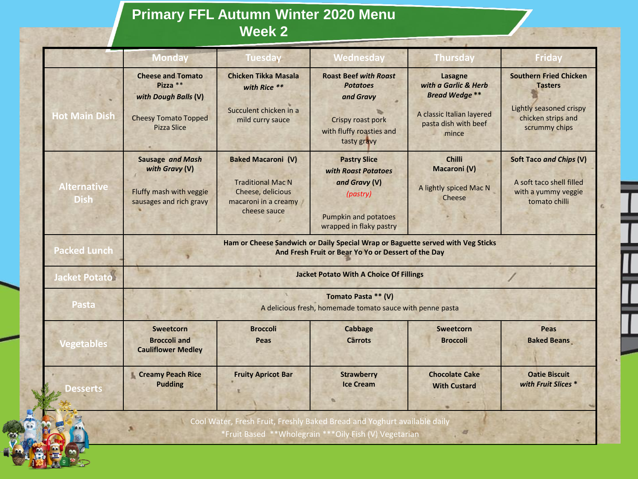## **Primary FFL Autumn Winter 2020 Menu Week 2**

|                                   | <b>Monday</b>                                                                                                                          | <b>Tuesday</b>                                                                                                     | Wednesday                                                                                                                         | <b>Thursday</b>                                                                                                       | <b>Friday</b>                                                                                                     |  |
|-----------------------------------|----------------------------------------------------------------------------------------------------------------------------------------|--------------------------------------------------------------------------------------------------------------------|-----------------------------------------------------------------------------------------------------------------------------------|-----------------------------------------------------------------------------------------------------------------------|-------------------------------------------------------------------------------------------------------------------|--|
| <b>Hot Main Dish</b>              | <b>Cheese and Tomato</b><br>Pizza $**$<br>with Dough Balls (V)<br><b>Cheesy Tomato Topped</b><br>Pizza Slice                           | <b>Chicken Tikka Masala</b><br>with Rice **<br>Succulent chicken in a<br>mild curry sauce                          | <b>Roast Beef with Roast</b><br><b>Potatoes</b><br>and Gravy<br>Crispy roast pork<br>with fluffy roasties and<br>tasty gravy      | Lasagne<br>with a Garlic & Herb<br><b>Bread Wedae**</b><br>A classic Italian layered<br>pasta dish with beef<br>mince | <b>Southern Fried Chicken</b><br><b>Tasters</b><br>Lightly seasoned crispy<br>chicken strips and<br>scrummy chips |  |
| <b>Alternative</b><br><b>Dish</b> | Sausage and Mash<br>with Gravy (V)<br>Fluffy mash with veggie<br>sausages and rich gravy                                               | <b>Baked Macaroni (V)</b><br><b>Traditional Mac N</b><br>Cheese, delicious<br>macaroni in a creamy<br>cheese sauce | <b>Pastry Slice</b><br>with Roast Potatoes<br>and Gravy (V)<br>(pastry)<br><b>Pumpkin and potatoes</b><br>wrapped in flaky pastry | <b>Chilli</b><br><b>Macaroni</b> (V)<br>A lightly spiced Mac N<br>Cheese                                              | Soft Taco and Chips (V)<br>A soft taco shell filled<br>with a yummy veggie<br>tomato chilli                       |  |
| <b>Packed Lunch</b>               | Ham or Cheese Sandwich or Daily Special Wrap or Baguette served with Veg Sticks<br>And Fresh Fruit or Bear Yo Yo or Dessert of the Day |                                                                                                                    |                                                                                                                                   |                                                                                                                       |                                                                                                                   |  |
| <b>Jacket Potato</b>              | <b>Jacket Potato With A Choice Of Fillings</b>                                                                                         |                                                                                                                    |                                                                                                                                   |                                                                                                                       |                                                                                                                   |  |
| Pasta                             | Tomato Pasta ** (V)<br>A delicious fresh, homemade tomato sauce with penne pasta                                                       |                                                                                                                    |                                                                                                                                   |                                                                                                                       |                                                                                                                   |  |
| <b>Vegetables</b>                 | Sweetcorn<br><b>Broccoli</b> and<br><b>Cauliflower Medley</b>                                                                          | <b>Broccoli</b><br>Peas                                                                                            | Cabbage<br><b>Carrots</b>                                                                                                         | Sweetcorn<br><b>Broccoli</b>                                                                                          | Peas<br><b>Baked Beans</b>                                                                                        |  |
| Desserts                          | <b>Creamy Peach Rice</b><br><b>Pudding</b>                                                                                             | <b>Fruity Apricot Bar</b>                                                                                          | <b>Strawberry</b><br><b>Ice Cream</b>                                                                                             | <b>Chocolate Cake</b><br><b>With Custard</b>                                                                          | <b>Oatie Biscuit</b><br>with Fruit Slices *                                                                       |  |
|                                   |                                                                                                                                        |                                                                                                                    | Cool Water, Fresh Fruit, Freshly Baked Bread and Yoghurt available daily<br>*Fruit Based **Wholegrain ***Oily Fish (V) Vegetarian |                                                                                                                       |                                                                                                                   |  |